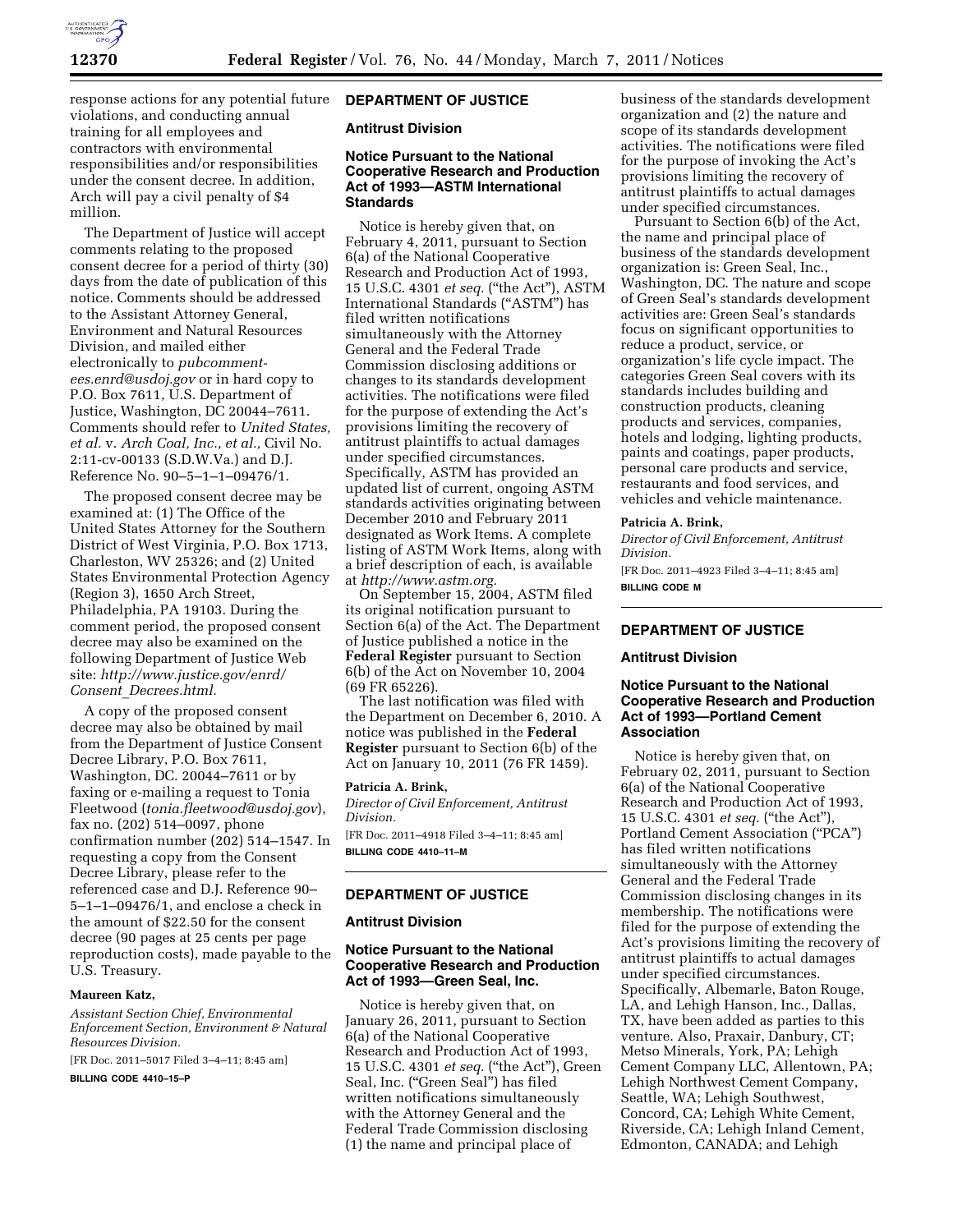

response actions for any potential future violations, and conducting annual training for all employees and contractors with environmental responsibilities and/or responsibilities under the consent decree. In addition, Arch will pay a civil penalty of \$4 million.

The Department of Justice will accept comments relating to the proposed consent decree for a period of thirty (30) days from the date of publication of this notice. Comments should be addressed to the Assistant Attorney General, Environment and Natural Resources Division, and mailed either electronically to *[pubcomment](mailto:pubcomment-ees.enrd@usdoj.gov)[ees.enrd@usdoj.gov](mailto:pubcomment-ees.enrd@usdoj.gov)* or in hard copy to P.O. Box 7611, U.S. Department of Justice, Washington, DC 20044–7611. Comments should refer to *United States, et al.* v. *Arch Coal, Inc., et al.,* Civil No. 2:11-cv-00133 (S.D.W.Va.) and D.J. Reference No. 90–5–1–1–09476/1.

The proposed consent decree may be examined at: (1) The Office of the United States Attorney for the Southern District of West Virginia, P.O. Box 1713, Charleston, WV 25326; and (2) United States Environmental Protection Agency (Region 3), 1650 Arch Street, Philadelphia, PA 19103. During the comment period, the proposed consent decree may also be examined on the following Department of Justice Web site: *[http://www.justice.gov/enrd/](http://www.justice.gov/enrd/Consent_Decrees.html) Consent*\_*[Decrees.html.](http://www.justice.gov/enrd/Consent_Decrees.html)* 

A copy of the proposed consent decree may also be obtained by mail from the Department of Justice Consent Decree Library, P.O. Box 7611, Washington, DC. 20044–7611 or by faxing or e-mailing a request to Tonia Fleetwood (*[tonia.fleetwood@usdoj.gov](mailto:tonia.fleetwood@usdoj.gov)*), fax no. (202) 514–0097, phone confirmation number (202) 514–1547. In requesting a copy from the Consent Decree Library, please refer to the referenced case and D.J. Reference 90– 5–1–1–09476/1, and enclose a check in the amount of \$22.50 for the consent decree (90 pages at 25 cents per page reproduction costs), made payable to the U.S. Treasury.

#### **Maureen Katz,**

*Assistant Section Chief, Environmental Enforcement Section, Environment & Natural Resources Division.* 

[FR Doc. 2011–5017 Filed 3–4–11; 8:45 am]

**BILLING CODE 4410–15–P** 

## **DEPARTMENT OF JUSTICE**

# **Antitrust Division**

# **Notice Pursuant to the National Cooperative Research and Production Act of 1993—ASTM International Standards**

Notice is hereby given that, on February 4, 2011, pursuant to Section 6(a) of the National Cooperative Research and Production Act of 1993, 15 U.S.C. 4301 *et seq.* (''the Act''), ASTM International Standards (''ASTM'') has filed written notifications simultaneously with the Attorney General and the Federal Trade Commission disclosing additions or changes to its standards development activities. The notifications were filed for the purpose of extending the Act's provisions limiting the recovery of antitrust plaintiffs to actual damages under specified circumstances. Specifically, ASTM has provided an updated list of current, ongoing ASTM standards activities originating between December 2010 and February 2011 designated as Work Items. A complete listing of ASTM Work Items, along with a brief description of each, is available at *[http://www.astm.org.](http://www.astm.org)* 

On September 15, 2004, ASTM filed its original notification pursuant to Section 6(a) of the Act. The Department of Justice published a notice in the **Federal Register** pursuant to Section 6(b) of the Act on November 10, 2004

(69 FR 65226). The last notification was filed with the Department on December 6, 2010. A notice was published in the **Federal Register** pursuant to Section 6(b) of the Act on January 10, 2011 (76 FR 1459).

#### **Patricia A. Brink,**

*Director of Civil Enforcement, Antitrust Division.* 

[FR Doc. 2011–4918 Filed 3–4–11; 8:45 am] **BILLING CODE 4410–11–M** 

#### **DEPARTMENT OF JUSTICE**

#### **Antitrust Division**

# **Notice Pursuant to the National Cooperative Research and Production Act of 1993—Green Seal, Inc.**

Notice is hereby given that, on January 26, 2011, pursuant to Section 6(a) of the National Cooperative Research and Production Act of 1993, 15 U.S.C. 4301 *et seq.* (''the Act''), Green Seal, Inc. ("Green Seal") has filed written notifications simultaneously with the Attorney General and the Federal Trade Commission disclosing (1) the name and principal place of

business of the standards development organization and (2) the nature and scope of its standards development activities. The notifications were filed for the purpose of invoking the Act's provisions limiting the recovery of antitrust plaintiffs to actual damages under specified circumstances.

Pursuant to Section 6(b) of the Act, the name and principal place of business of the standards development organization is: Green Seal, Inc., Washington, DC. The nature and scope of Green Seal's standards development activities are: Green Seal's standards focus on significant opportunities to reduce a product, service, or organization's life cycle impact. The categories Green Seal covers with its standards includes building and construction products, cleaning products and services, companies, hotels and lodging, lighting products, paints and coatings, paper products, personal care products and service, restaurants and food services, and vehicles and vehicle maintenance.

## **Patricia A. Brink,**

*Director of Civil Enforcement, Antitrust Division.* 

[FR Doc. 2011–4923 Filed 3–4–11; 8:45 am] **BILLING CODE M** 

# **DEPARTMENT OF JUSTICE**

## **Antitrust Division**

## **Notice Pursuant to the National Cooperative Research and Production Act of 1993—Portland Cement Association**

Notice is hereby given that, on February 02, 2011, pursuant to Section 6(a) of the National Cooperative Research and Production Act of 1993, 15 U.S.C. 4301 *et seq.* (''the Act''), Portland Cement Association (''PCA'') has filed written notifications simultaneously with the Attorney General and the Federal Trade Commission disclosing changes in its membership. The notifications were filed for the purpose of extending the Act's provisions limiting the recovery of antitrust plaintiffs to actual damages under specified circumstances. Specifically, Albemarle, Baton Rouge, LA, and Lehigh Hanson, Inc., Dallas, TX, have been added as parties to this venture. Also, Praxair, Danbury, CT; Metso Minerals, York, PA; Lehigh Cement Company LLC, Allentown, PA; Lehigh Northwest Cement Company, Seattle, WA; Lehigh Southwest, Concord, CA; Lehigh White Cement, Riverside, CA; Lehigh Inland Cement, Edmonton, CANADA; and Lehigh